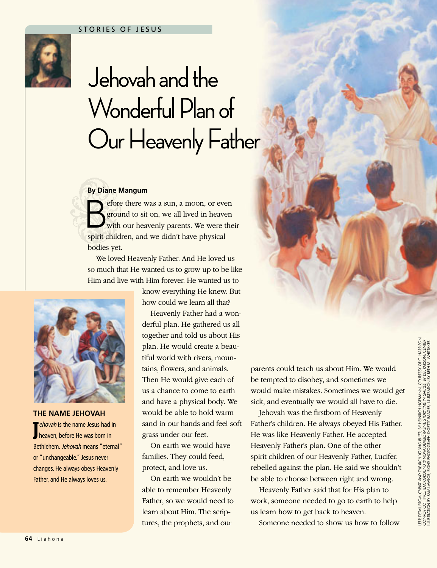

# Jehovah and the Wonderful Plan of Our Heavenly Father

### **By Diane Mangum**

Sefore there was a sun, a moon, or even<br>ground to sit on, we all lived in heaven<br>with our heavenly parents. We were the ground to sit on, we all lived in heaven with our heavenly parents. We were their spirit children, and we didn't have physical bodies yet.

We loved Heavenly Father. And He loved us so much that He wanted us to grow up to be like Him and live with Him forever. He wanted us to

> know everything He knew. But how could we learn all that?

Heavenly Father had a wonderful plan. He gathered us all together and told us about His plan. He would create a beautiful world with rivers, mountains, flowers, and animals. Then He would give each of us a chance to come to earth and have a physical body. We would be able to hold warm sand in our hands and feel soft grass under our feet.

On earth we would have families. They could feed, protect, and love us.

On earth we wouldn't be able to remember Heavenly Father, so we would need to learn about Him. The scriptures, the prophets, and our

parents could teach us about Him. We would be tempted to disobey, and sometimes we would make mistakes. Sometimes we would get sick, and eventually we would all have to die.

Jehovah was the firstborn of Heavenly Father's children. He always obeyed His Father. He was like Heavenly Father. He accepted Heavenly Father's plan. One of the other spirit children of our Heavenly Father, Lucifer, rebelled against the plan. He said we shouldn't be able to choose between right and wrong.

Heavenly Father said that for His plan to work, someone needed to go to earth to help us learn how to get back to heaven.

Someone needed to show us how to follow

**The Name Jehovah**

**J** *ehovah* is the name Jesus had i<br>heaven, before He was born in *ehovah* is the name Jesus had in

Bethlehem. *Jehovah* means "eternal" or "unchangeable." Jesus never changes. He always obeys Heavenly Father, and He always loves us.